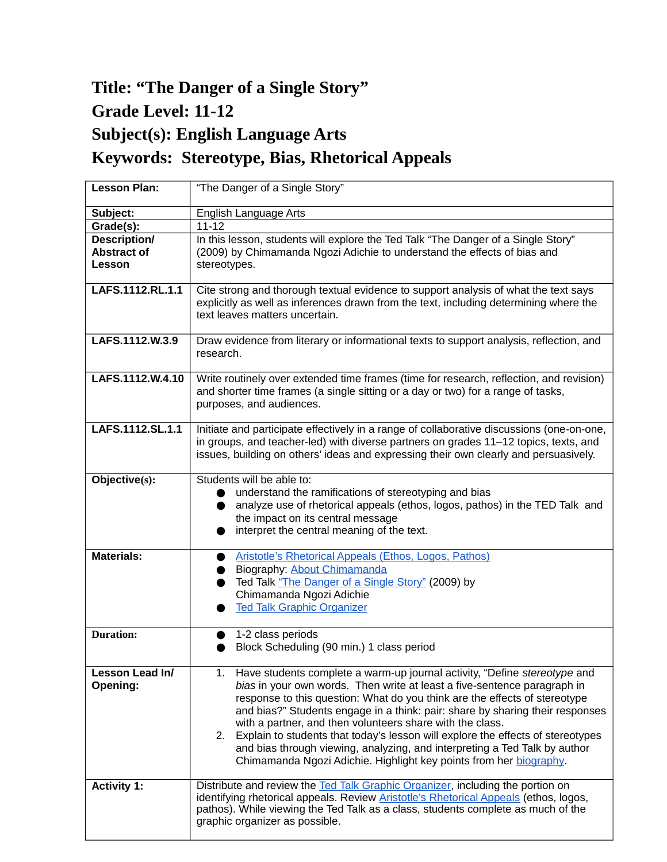## **Title: "The Danger of a Single Story" Grade Level: 11-12 Subject(s): English Language Arts Keywords: Stereotype, Bias, Rhetorical Appeals**

| <b>Lesson Plan:</b>                                 | "The Danger of a Single Story"                                                                                                                                                                                                                                                                                                                                                                                                                                                                                                                                                                                                           |
|-----------------------------------------------------|------------------------------------------------------------------------------------------------------------------------------------------------------------------------------------------------------------------------------------------------------------------------------------------------------------------------------------------------------------------------------------------------------------------------------------------------------------------------------------------------------------------------------------------------------------------------------------------------------------------------------------------|
| Subject:                                            | English Language Arts                                                                                                                                                                                                                                                                                                                                                                                                                                                                                                                                                                                                                    |
| Grade(s):                                           | $11 - 12$                                                                                                                                                                                                                                                                                                                                                                                                                                                                                                                                                                                                                                |
| <b>Description/</b><br><b>Abstract of</b><br>Lesson | In this lesson, students will explore the Ted Talk "The Danger of a Single Story"<br>(2009) by Chimamanda Ngozi Adichie to understand the effects of bias and<br>stereotypes.                                                                                                                                                                                                                                                                                                                                                                                                                                                            |
| LAFS.1112.RL.1.1                                    | Cite strong and thorough textual evidence to support analysis of what the text says<br>explicitly as well as inferences drawn from the text, including determining where the<br>text leaves matters uncertain.                                                                                                                                                                                                                                                                                                                                                                                                                           |
| LAFS.1112.W.3.9                                     | Draw evidence from literary or informational texts to support analysis, reflection, and<br>research.                                                                                                                                                                                                                                                                                                                                                                                                                                                                                                                                     |
| LAFS.1112.W.4.10                                    | Write routinely over extended time frames (time for research, reflection, and revision)<br>and shorter time frames (a single sitting or a day or two) for a range of tasks,<br>purposes, and audiences.                                                                                                                                                                                                                                                                                                                                                                                                                                  |
| LAFS.1112.SL.1.1                                    | Initiate and participate effectively in a range of collaborative discussions (one-on-one,<br>in groups, and teacher-led) with diverse partners on grades 11-12 topics, texts, and<br>issues, building on others' ideas and expressing their own clearly and persuasively.                                                                                                                                                                                                                                                                                                                                                                |
| Objective(s):                                       | Students will be able to:<br>understand the ramifications of stereotyping and bias<br>analyze use of rhetorical appeals (ethos, logos, pathos) in the TED Talk and<br>the impact on its central message<br>interpret the central meaning of the text.                                                                                                                                                                                                                                                                                                                                                                                    |
| <b>Materials:</b>                                   | <b>Aristotle's Rhetorical Appeals (Ethos, Logos, Pathos)</b><br>Biography: About Chimamanda<br>Ted Talk "The Danger of a Single Story" (2009) by<br>Chimamanda Ngozi Adichie<br><b>Ted Talk Graphic Organizer</b>                                                                                                                                                                                                                                                                                                                                                                                                                        |
| <b>Duration:</b>                                    | 1-2 class periods<br>Block Scheduling (90 min.) 1 class period                                                                                                                                                                                                                                                                                                                                                                                                                                                                                                                                                                           |
| Lesson Lead In/<br>Opening:                         | 1.<br>Have students complete a warm-up journal activity, "Define <i>stereotype</i> and<br>bias in your own words. Then write at least a five-sentence paragraph in<br>response to this question: What do you think are the effects of stereotype<br>and bias?" Students engage in a think: pair: share by sharing their responses<br>with a partner, and then volunteers share with the class.<br>2. Explain to students that today's lesson will explore the effects of stereotypes<br>and bias through viewing, analyzing, and interpreting a Ted Talk by author<br>Chimamanda Ngozi Adichie. Highlight key points from her biography. |
| <b>Activity 1:</b>                                  | Distribute and review the Ted Talk Graphic Organizer, including the portion on<br>identifying rhetorical appeals. Review Aristotle's Rhetorical Appeals (ethos, logos,<br>pathos). While viewing the Ted Talk as a class, students complete as much of the<br>graphic organizer as possible.                                                                                                                                                                                                                                                                                                                                             |